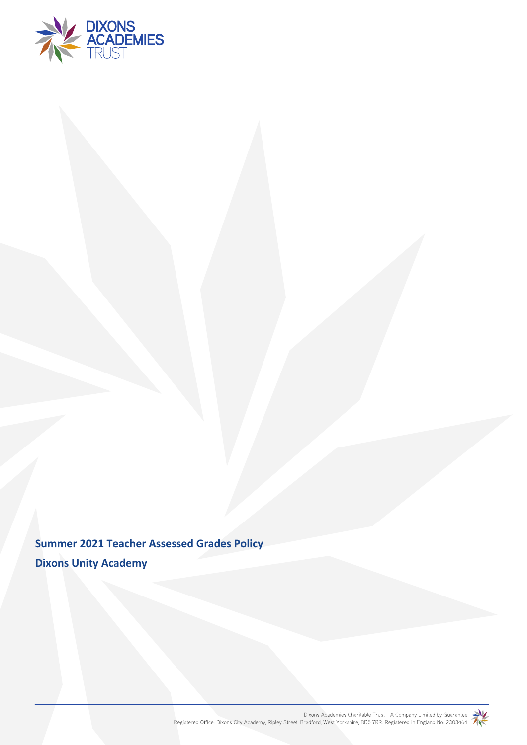

**Summer 2021 Teacher Assessed Grades Policy Dixons Unity Academy**

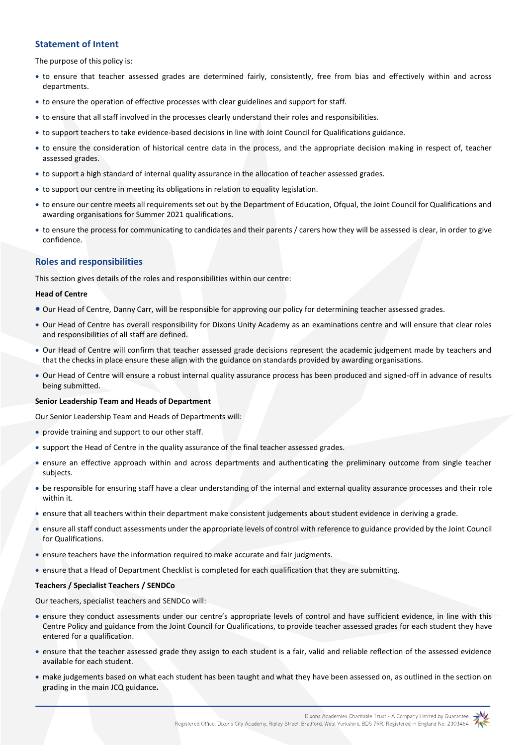# **Statement of Intent**

The purpose of this policy is:

- to ensure that teacher assessed grades are determined fairly, consistently, free from bias and effectively within and across departments.
- to ensure the operation of effective processes with clear guidelines and support for staff.
- to ensure that all staff involved in the processes clearly understand their roles and responsibilities.
- to support teachers to take evidence-based decisions in line with Joint Council for Qualifications guidance.
- to ensure the consideration of historical centre data in the process, and the appropriate decision making in respect of, teacher assessed grades.
- to support a high standard of internal quality assurance in the allocation of teacher assessed grades.
- to support our centre in meeting its obligations in relation to equality legislation.
- to ensure our centre meets all requirements set out by the Department of Education, Ofqual, the Joint Council for Qualifications and awarding organisations for Summer 2021 qualifications.
- to ensure the process for communicating to candidates and their parents / carers how they will be assessed is clear, in order to give confidence.

# **Roles and responsibilities**

This section gives details of the roles and responsibilities within our centre:

#### **Head of Centre**

- Our Head of Centre, Danny Carr, will be responsible for approving our policy for determining teacher assessed grades.
- Our Head of Centre has overall responsibility for Dixons Unity Academy as an examinations centre and will ensure that clear roles and responsibilities of all staff are defined.
- Our Head of Centre will confirm that teacher assessed grade decisions represent the academic judgement made by teachers and that the checks in place ensure these align with the guidance on standards provided by awarding organisations.
- Our Head of Centre will ensure a robust internal quality assurance process has been produced and signed-off in advance of results being submitted.

#### **Senior Leadership Team and Heads of Department**

Our Senior Leadership Team and Heads of Departments will:

- provide training and support to our other staff.
- support the Head of Centre in the quality assurance of the final teacher assessed grades.
- ensure an effective approach within and across departments and authenticating the preliminary outcome from single teacher subjects.
- be responsible for ensuring staff have a clear understanding of the internal and external quality assurance processes and their role within it.
- ensure that all teachers within their department make consistent judgements about student evidence in deriving a grade.
- ensure all staff conduct assessments under the appropriate levels of control with reference to guidance provided by the Joint Council for Qualifications.
- ensure teachers have the information required to make accurate and fair judgments.
- ensure that a Head of Department Checklist is completed for each qualification that they are submitting.

### **Teachers / Specialist Teachers / SENDCo**

Our teachers, specialist teachers and SENDCo will:

- ensure they conduct assessments under our centre's appropriate levels of control and have sufficient evidence, in line with this Centre Policy and guidance from the Joint Council for Qualifications, to provide teacher assessed grades for each student they have entered for a qualification.
- ensure that the teacher assessed grade they assign to each student is a fair, valid and reliable reflection of the assessed evidence available for each student.
- make judgements based on what each student has been taught and what they have been assessed on, as outlined in the section on grading in the main JCQ guidance**.**

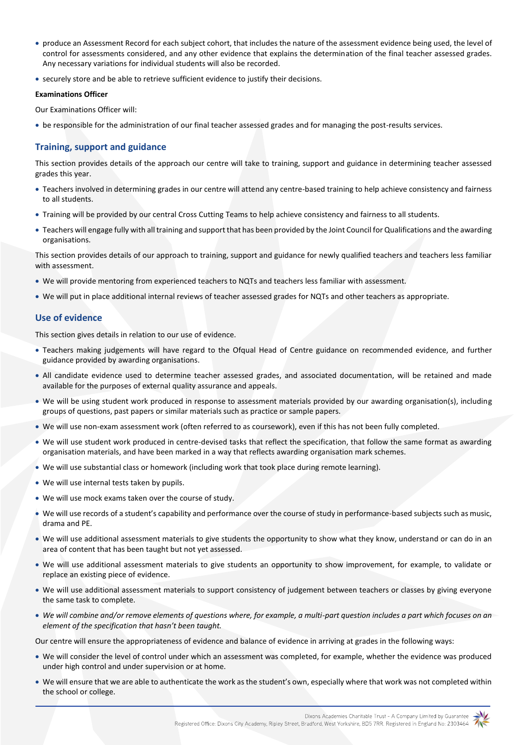- produce an Assessment Record for each subject cohort, that includes the nature of the assessment evidence being used, the level of control for assessments considered, and any other evidence that explains the determination of the final teacher assessed grades. Any necessary variations for individual students will also be recorded.
- securely store and be able to retrieve sufficient evidence to justify their decisions.

#### **Examinations Officer**

Our Examinations Officer will:

be responsible for the administration of our final teacher assessed grades and for managing the post-results services.

# **Training, support and guidance**

This section provides details of the approach our centre will take to training, support and guidance in determining teacher assessed grades this year.

- Teachers involved in determining grades in our centre will attend any centre-based training to help achieve consistency and fairness to all students.
- Training will be provided by our central Cross Cutting Teams to help achieve consistency and fairness to all students.
- Teachers will engage fully with all training and support that has been provided by the Joint Council for Qualifications and the awarding organisations.

This section provides details of our approach to training, support and guidance for newly qualified teachers and teachers less familiar with assessment.

- We will provide mentoring from experienced teachers to NQTs and teachers less familiar with assessment.
- We will put in place additional internal reviews of teacher assessed grades for NQTs and other teachers as appropriate.

# **Use of evidence**

This section gives details in relation to our use of evidence.

- Teachers making judgements will have regard to the Ofqual Head of Centre guidance on recommended evidence, and further guidance provided by awarding organisations.
- All candidate evidence used to determine teacher assessed grades, and associated documentation, will be retained and made available for the purposes of external quality assurance and appeals.
- We will be using student work produced in response to assessment materials provided by our awarding organisation(s), including groups of questions, past papers or similar materials such as practice or sample papers.
- We will use non-exam assessment work (often referred to as coursework), even if this has not been fully completed.
- We will use student work produced in centre-devised tasks that reflect the specification, that follow the same format as awarding organisation materials, and have been marked in a way that reflects awarding organisation mark schemes.
- We will use substantial class or homework (including work that took place during remote learning).
- We will use internal tests taken by pupils.
- We will use mock exams taken over the course of study.
- We will use records of a student's capability and performance over the course of study in performance-based subjects such as music, drama and PE.
- We will use additional assessment materials to give students the opportunity to show what they know, understand or can do in an area of content that has been taught but not yet assessed.
- We will use additional assessment materials to give students an opportunity to show improvement, for example, to validate or replace an existing piece of evidence.
- We will use additional assessment materials to support consistency of judgement between teachers or classes by giving everyone the same task to complete.
- *We will combine and/or remove elements of questions where, for example, a multi-part question includes a part which focuses on an element of the specification that hasn't been taught.*

Our centre will ensure the appropriateness of evidence and balance of evidence in arriving at grades in the following ways:

- We will consider the level of control under which an assessment was completed, for example, whether the evidence was produced under high control and under supervision or at home.
- We will ensure that we are able to authenticate the work as the student's own, especially where that work was not completed within the school or college.

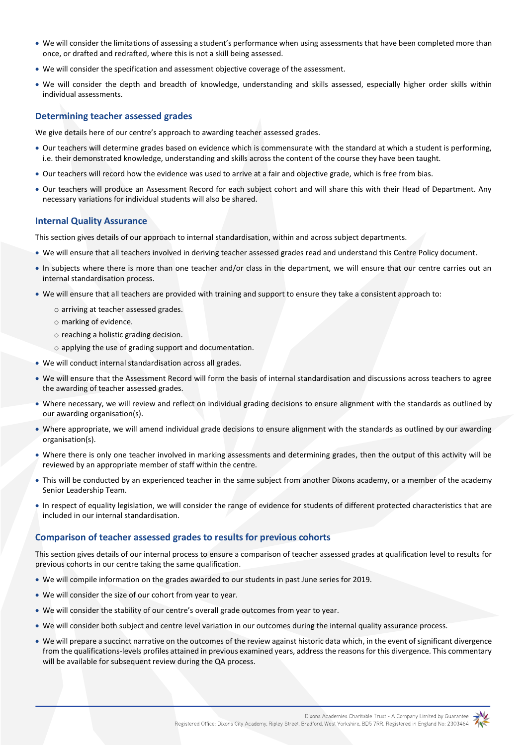- We will consider the limitations of assessing a student's performance when using assessments that have been completed more than once, or drafted and redrafted, where this is not a skill being assessed.
- We will consider the specification and assessment objective coverage of the assessment.
- We will consider the depth and breadth of knowledge, understanding and skills assessed, especially higher order skills within individual assessments.

# **Determining teacher assessed grades**

We give details here of our centre's approach to awarding teacher assessed grades*.*

- Our teachers will determine grades based on evidence which is commensurate with the standard at which a student is performing, i.e. their demonstrated knowledge, understanding and skills across the content of the course they have been taught.
- Our teachers will record how the evidence was used to arrive at a fair and objective grade, which is free from bias.
- Our teachers will produce an Assessment Record for each subject cohort and will share this with their Head of Department. Any necessary variations for individual students will also be shared.

# **Internal Quality Assurance**

This section gives details of our approach to internal standardisation, within and across subject departments.

- We will ensure that all teachers involved in deriving teacher assessed grades read and understand this Centre Policy document.
- In subjects where there is more than one teacher and/or class in the department, we will ensure that our centre carries out an internal standardisation process.
- We will ensure that all teachers are provided with training and support to ensure they take a consistent approach to:
	- o arriving at teacher assessed grades.
	- o marking of evidence.
	- o reaching a holistic grading decision.
	- o applying the use of grading support and documentation.
- We will conduct internal standardisation across all grades.
- We will ensure that the Assessment Record will form the basis of internal standardisation and discussions across teachers to agree the awarding of teacher assessed grades.
- Where necessary, we will review and reflect on individual grading decisions to ensure alignment with the standards as outlined by our awarding organisation(s).
- Where appropriate, we will amend individual grade decisions to ensure alignment with the standards as outlined by our awarding organisation(s).
- Where there is only one teacher involved in marking assessments and determining grades, then the output of this activity will be reviewed by an appropriate member of staff within the centre.
- This will be conducted by an experienced teacher in the same subject from another Dixons academy, or a member of the academy Senior Leadership Team.
- In respect of equality legislation, we will consider the range of evidence for students of different protected characteristics that are included in our internal standardisation.

# **Comparison of teacher assessed grades to results for previous cohorts**

This section gives details of our internal process to ensure a comparison of teacher assessed grades at qualification level to results for previous cohorts in our centre taking the same qualification.

- We will compile information on the grades awarded to our students in past June series for 2019.
- We will consider the size of our cohort from year to year.
- We will consider the stability of our centre's overall grade outcomes from year to year.
- We will consider both subject and centre level variation in our outcomes during the internal quality assurance process.
- We will prepare a succinct narrative on the outcomes of the review against historic data which, in the event of significant divergence from the qualifications-levels profiles attained in previous examined years, address the reasons for this divergence. This commentary will be available for subsequent review during the QA process.

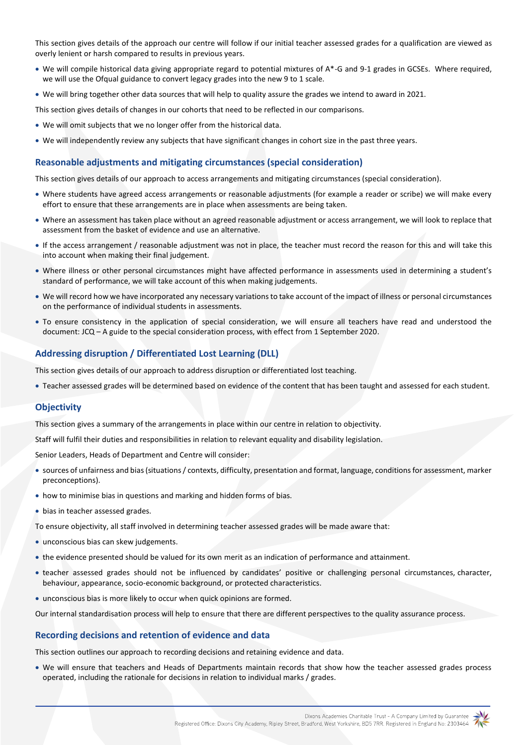This section gives details of the approach our centre will follow if our initial teacher assessed grades for a qualification are viewed as overly lenient or harsh compared to results in previous years.

- We will compile historical data giving appropriate regard to potential mixtures of A\*-G and 9-1 grades in GCSEs. Where required, we will use the Ofqual guidance to convert legacy grades into the new 9 to 1 scale.
- We will bring together other data sources that will help to quality assure the grades we intend to award in 2021.

This section gives details of changes in our cohorts that need to be reflected in our comparisons.

- We will omit subjects that we no longer offer from the historical data.
- We will independently review any subjects that have significant changes in cohort size in the past three years.

#### **Reasonable adjustments and mitigating circumstances (special consideration)**

This section gives details of our approach to access arrangements and mitigating circumstances (special consideration).

- Where students have agreed access arrangements or reasonable adjustments (for example a reader or scribe) we will make every effort to ensure that these arrangements are in place when assessments are being taken.
- Where an assessment has taken place without an agreed reasonable adjustment or access arrangement, we will look to replace that assessment from the basket of evidence and use an alternative.
- If the access arrangement / reasonable adjustment was not in place, the teacher must record the reason for this and will take this into account when making their final judgement.
- Where illness or other personal circumstances might have affected performance in assessments used in determining a student's standard of performance, we will take account of this when making judgements.
- We will record how we have incorporated any necessary variations to take account of the impact of illness or personal circumstances on the performance of individual students in assessments.
- To ensure consistency in the application of special consideration, we will ensure all teachers have read and understood the document: JCQ – [A guide to the special consideration process, with effect from 1 September 2020.](https://www.jcq.org.uk/wp-content/uploads/2020/08/A-guide-to-the-spec-con-process-202021-Website-version.pdf)

### **Addressing disruption / Differentiated Lost Learning (DLL)**

This section gives details of our approach to address disruption or differentiated lost teaching.

Teacher assessed grades will be determined based on evidence of the content that has been taught and assessed for each student.

#### **Objectivity**

This section gives a summary of the arrangements in place within our centre in relation to objectivity.

Staff will fulfil their duties and responsibilities in relation to relevant equality and disability legislation.

Senior Leaders, Heads of Department and Centre will consider:

- sources of unfairness and bias (situations / contexts, difficulty, presentation and format, language, conditions for assessment, marker preconceptions).
- how to minimise bias in questions and marking and hidden forms of bias.
- bias in teacher assessed grades.
- To ensure objectivity, all staff involved in determining teacher assessed grades will be made aware that:
- unconscious bias can skew judgements.
- the evidence presented should be valued for its own merit as an indication of performance and attainment.
- teacher assessed grades should not be influenced by candidates' positive or challenging personal circumstances, character, behaviour, appearance, socio-economic background, or protected characteristics.
- unconscious bias is more likely to occur when quick opinions are formed.

Our internal standardisation process will help to ensure that there are different perspectives to the quality assurance process.

#### **Recording decisions and retention of evidence and data**

This section outlines our approach to recording decisions and retaining evidence and data.

 We will ensure that teachers and Heads of Departments maintain records that show how the teacher assessed grades process operated, including the rationale for decisions in relation to individual marks / grades.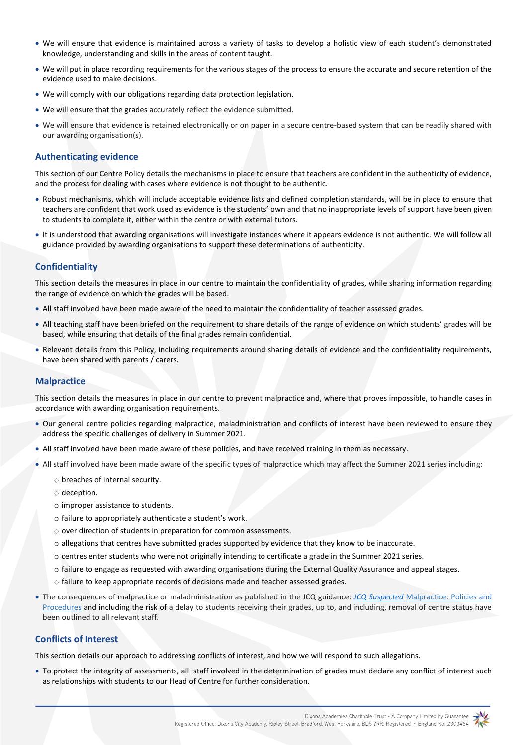- We will ensure that evidence is maintained across a variety of tasks to develop a holistic view of each student's demonstrated knowledge, understanding and skills in the areas of content taught.
- We will put in place recording requirements for the various stages of the process to ensure the accurate and secure retention of the evidence used to make decisions.
- We will comply with our obligations regarding data protection legislation.
- We will ensure that the grades accurately reflect the evidence submitted.
- We will ensure that evidence is retained electronically or on paper in a secure centre-based system that can be readily shared with our awarding organisation(s).

# **Authenticating evidence**

This section of our Centre Policy details the mechanisms in place to ensure that teachers are confident in the authenticity of evidence, and the process for dealing with cases where evidence is not thought to be authentic.

- Robust mechanisms, which will include acceptable evidence lists and defined completion standards, will be in place to ensure that teachers are confident that work used as evidence is the students' own and that no inappropriate levels of support have been given to students to complete it, either within the centre or with external tutors.
- It is understood that awarding organisations will investigate instances where it appears evidence is not authentic. We will follow all guidance provided by awarding organisations to support these determinations of authenticity.

# **Confidentiality**

This section details the measures in place in our centre to maintain the confidentiality of grades, while sharing information regarding the range of evidence on which the grades will be based.

- All staff involved have been made aware of the need to maintain the confidentiality of teacher assessed grades.
- All teaching staff have been briefed on the requirement to share details of the range of evidence on which students' grades will be based, while ensuring that details of the final grades remain confidential.
- Relevant details from this Policy, including requirements around sharing details of evidence and the confidentiality requirements, have been shared with parents / carers.

### **Malpractice**

This section details the measures in place in our centre to prevent malpractice and, where that proves impossible, to handle cases in accordance with awarding organisation requirements.

- Our general centre policies regarding malpractice, maladministration and conflicts of interest have been reviewed to ensure they address the specific challenges of delivery in Summer 2021.
- All staff involved have been made aware of these policies, and have received training in them as necessary.
- All staff involved have been made aware of the specific types of malpractice which may affect the Summer 2021 series including:
	- o breaches of internal security.
	- o deception.
	- o improper assistance to students.
	- o failure to appropriately authenticate a student's work.
	- o over direction of students in preparation for common assessments.
	- o allegations that centres have submitted grades supported by evidence that they know to be inaccurate.
	- o centres enter students who were not originally intending to certificate a grade in the Summer 2021 series.
	- o failure to engage as requested with awarding organisations during the External Quality Assurance and appeal stages.
	- o failure to keep appropriate records of decisions made and teacher assessed grades.
- The consequences of malpractice or maladministration as published in the JCQ guidance: *[JCQ Suspected](https://www.jcq.org.uk/exams-office/malpractice/jcq-suspected-malpractice-policies-and-procedures-2019-2020)* Malpractice: Policies and Procedures and including the risk of a delay to students receiving their grades, up to, and including, removal of centre status have been outlined to all relevant staff.

## **Conflicts of Interest**

This section details our approach to addressing conflicts of interest, and how we will respond to such allegations.

 To protect the integrity of assessments, all staff involved in the determination of grades must declare any conflict of interest such as relationships with students to our Head of Centre for further consideration.